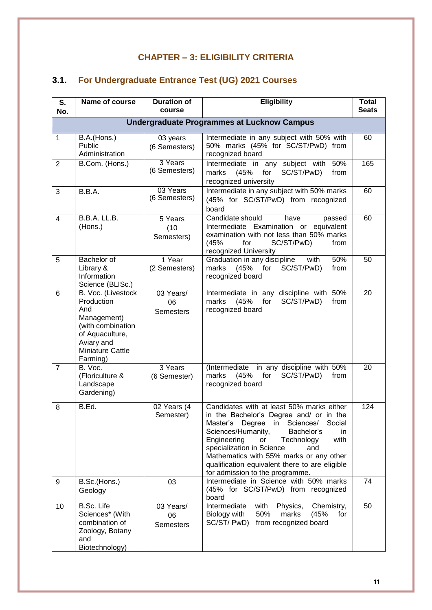## **CHAPTER – 3: ELIGIBILITY CRITERIA**

## **3.1. For Undergraduate Entrance Test (UG) 2021 Courses**

| S.<br>No.                                         | Name of course                                                                                                                               | <b>Duration of</b><br>course        | <b>Eligibility</b>                                                                                                                                                                                                                                                                                                                                                                                | <b>Total</b><br><b>Seats</b> |  |  |  |
|---------------------------------------------------|----------------------------------------------------------------------------------------------------------------------------------------------|-------------------------------------|---------------------------------------------------------------------------------------------------------------------------------------------------------------------------------------------------------------------------------------------------------------------------------------------------------------------------------------------------------------------------------------------------|------------------------------|--|--|--|
| <b>Undergraduate Programmes at Lucknow Campus</b> |                                                                                                                                              |                                     |                                                                                                                                                                                                                                                                                                                                                                                                   |                              |  |  |  |
| $\mathbf{1}$                                      | B.A.(Hons.)<br>Public<br>Administration                                                                                                      | 03 years<br>(6 Semesters)           | Intermediate in any subject with 50% with<br>50% marks (45% for SC/ST/PwD) from<br>recognized board                                                                                                                                                                                                                                                                                               | 60                           |  |  |  |
| $\overline{2}$                                    | B.Com. (Hons.)                                                                                                                               | 3 Years<br>(6 Semesters)            | Intermediate in any subject with<br>50%<br>SC/ST/PwD)<br>marks<br>(45%<br>for<br>from<br>recognized university                                                                                                                                                                                                                                                                                    | 165                          |  |  |  |
| 3                                                 | B.B.A.                                                                                                                                       | 03 Years<br>(6 Semesters)           | Intermediate in any subject with 50% marks<br>(45% for SC/ST/PwD) from recognized<br>board                                                                                                                                                                                                                                                                                                        | 60                           |  |  |  |
| $\overline{4}$                                    | <b>B.B.A. LL.B.</b><br>(Hons.)                                                                                                               | 5 Years<br>(10)<br>Semesters)       | Candidate should<br>have<br>passed<br>Intermediate Examination or<br>equivalent<br>examination with not less than 50% marks<br>(45%<br>SC/ST/PwD)<br>for<br>from<br>recognized University                                                                                                                                                                                                         | 60                           |  |  |  |
| 5                                                 | Bachelor of<br>Library &<br>Information<br>Science (BLISc.)                                                                                  | 1 Year<br>(2 Semesters)             | 50%<br>Graduation in any discipline<br>with<br>SC/ST/PwD)<br>marks<br>(45%<br>for<br>from<br>recognized board                                                                                                                                                                                                                                                                                     | 50                           |  |  |  |
| 6                                                 | B. Voc. (Livestock<br>Production<br>And<br>Management)<br>(with combination<br>of Aquaculture,<br>Aviary and<br>Miniature Cattle<br>Farming) | 03 Years/<br>06<br><b>Semesters</b> | Intermediate in any discipline with 50%<br>SC/ST/PwD)<br>marks<br>(45%<br>for<br>from<br>recognized board                                                                                                                                                                                                                                                                                         | 20                           |  |  |  |
| $\overline{7}$                                    | B. Voc.<br>(Floriculture &<br>Landscape<br>Gardening)                                                                                        | 3 Years<br>(6 Semester)             | (Intermediate in any discipline with 50%<br>marks<br>(45%<br>for<br>SC/ST/PwD)<br>from<br>recognized board                                                                                                                                                                                                                                                                                        | 20                           |  |  |  |
| 8                                                 | B.Ed.                                                                                                                                        | 02 Years (4<br>Semester)            | Candidates with at least 50% marks either<br>in the Bachelor's Degree and/ or in the<br>Master's<br>Degree<br>in<br>Sciences/<br>Social<br>Sciences/Humanity,<br>Bachelor's<br>in.<br>Engineering<br>with<br>Technology<br>or<br>specialization in Science<br>and<br>Mathematics with 55% marks or any other<br>qualification equivalent there to are eligible<br>for admission to the programme. | 124                          |  |  |  |
| 9                                                 | B.Sc.(Hons.)<br>Geology                                                                                                                      | 03                                  | Intermediate in Science with 50% marks<br>(45% for SC/ST/PwD) from recognized<br>board                                                                                                                                                                                                                                                                                                            | 74                           |  |  |  |
| 10                                                | B.Sc. Life<br>Sciences* (With<br>combination of<br>Zoology, Botany<br>and<br>Biotechnology)                                                  | 03 Years/<br>06<br><b>Semesters</b> | with<br>Physics,<br>Chemistry,<br>Intermediate<br>Biology with<br>50%<br>(45%<br>marks<br>for<br>SC/ST/PwD)<br>from recognized board                                                                                                                                                                                                                                                              | 50                           |  |  |  |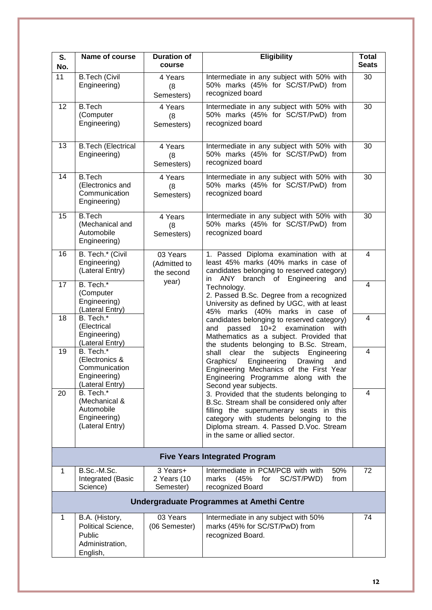| S.<br>No.                                 | Name of course                                                                  | <b>Duration of</b><br>course           | <b>Eligibility</b>                                                                                                                                                                                                                                          | <b>Total</b><br><b>Seats</b> |  |  |  |
|-------------------------------------------|---------------------------------------------------------------------------------|----------------------------------------|-------------------------------------------------------------------------------------------------------------------------------------------------------------------------------------------------------------------------------------------------------------|------------------------------|--|--|--|
| 11                                        | <b>B.Tech (Civil</b><br>Engineering)                                            | 4 Years<br>(8)<br>Semesters)           | Intermediate in any subject with 50% with<br>50% marks (45% for SC/ST/PwD) from<br>recognized board                                                                                                                                                         | 30                           |  |  |  |
| 12                                        | <b>B.Tech</b><br>(Computer<br>Engineering)                                      | 4 Years<br>(8)<br>Semesters)           | Intermediate in any subject with 50% with<br>50% marks (45% for SC/ST/PwD) from<br>recognized board                                                                                                                                                         | 30                           |  |  |  |
| 13                                        | <b>B.Tech (Electrical</b><br>Engineering)                                       | 4 Years<br>(8<br>Semesters)            | Intermediate in any subject with 50% with<br>50% marks (45% for SC/ST/PwD) from<br>recognized board                                                                                                                                                         | 30                           |  |  |  |
| 14                                        | <b>B.Tech</b><br>(Electronics and<br>Communication<br>Engineering)              | 4 Years<br>(8)<br>Semesters)           | Intermediate in any subject with 50% with<br>50% marks (45% for SC/ST/PwD) from<br>recognized board                                                                                                                                                         | 30                           |  |  |  |
| 15                                        | <b>B.Tech</b><br>(Mechanical and<br>Automobile<br>Engineering)                  | 4 Years<br>(8)<br>Semesters)           | Intermediate in any subject with 50% with<br>50% marks (45% for SC/ST/PwD) from<br>recognized board                                                                                                                                                         | 30                           |  |  |  |
| 16                                        | B. Tech.* (Civil<br>Engineering)<br>(Lateral Entry)                             | 03 Years<br>(Admitted to<br>the second | 1. Passed Diploma examination with at<br>least 45% marks (40% marks in case of<br>candidates belonging to reserved category)<br>in ANY<br>branch of Engineering<br>and                                                                                      | $\overline{4}$               |  |  |  |
| 17                                        | B. Tech.*<br>(Computer<br>Engineering)<br>(Lateral Entry)                       | year)                                  | Technology.<br>2. Passed B.Sc. Degree from a recognized<br>University as defined by UGC, with at least<br>45% marks (40% marks in case of                                                                                                                   | 4                            |  |  |  |
| 18                                        | B. Tech.*<br>(Electrical<br>Engineering)<br>(Lateral Entry)                     |                                        | candidates belonging to reserved category)<br>passed<br>$10+2$<br>examination<br>and<br>with<br>Mathematics as a subject. Provided that<br>the students belonging to B.Sc. Stream,                                                                          | 4                            |  |  |  |
| 19                                        | B. Tech.*<br>(Electronics &<br>Communication<br>Engineering)<br>(Lateral Entry) |                                        | clear<br>the<br>subjects<br>Engineering<br>shall<br>Engineering<br>Drawing<br>Graphics/<br>and<br>Engineering Mechanics of the First Year<br>Engineering Programme along with the<br>Second year subjects.                                                  | $\overline{4}$               |  |  |  |
| 20                                        | B. Tech.*<br>(Mechanical &<br>Automobile<br>Engineering)<br>(Lateral Entry)     |                                        | 3. Provided that the students belonging to<br>B.Sc. Stream shall be considered only after<br>filling the supernumerary seats in this<br>category with students belonging to the<br>Diploma stream. 4. Passed D.Voc. Stream<br>in the same or allied sector. | $\overline{4}$               |  |  |  |
|                                           | <b>Five Years Integrated Program</b>                                            |                                        |                                                                                                                                                                                                                                                             |                              |  |  |  |
| 1                                         | B.Sc.-M.Sc.<br>Integrated (Basic<br>Science)                                    | 3 Years+<br>2 Years (10<br>Semester)   | Intermediate in PCM/PCB with with<br>50%<br>SC/ST/PWD)<br>marks<br>(45%<br>for<br>from<br>recognized Board                                                                                                                                                  | 72                           |  |  |  |
| Undergraduate Programmes at Amethi Centre |                                                                                 |                                        |                                                                                                                                                                                                                                                             |                              |  |  |  |
| 1                                         | B.A. (History,<br>Political Science,<br>Public<br>Administration,<br>English,   | 03 Years<br>(06 Semester)              | Intermediate in any subject with 50%<br>marks (45% for SC/ST/PwD) from<br>recognized Board.                                                                                                                                                                 | 74                           |  |  |  |